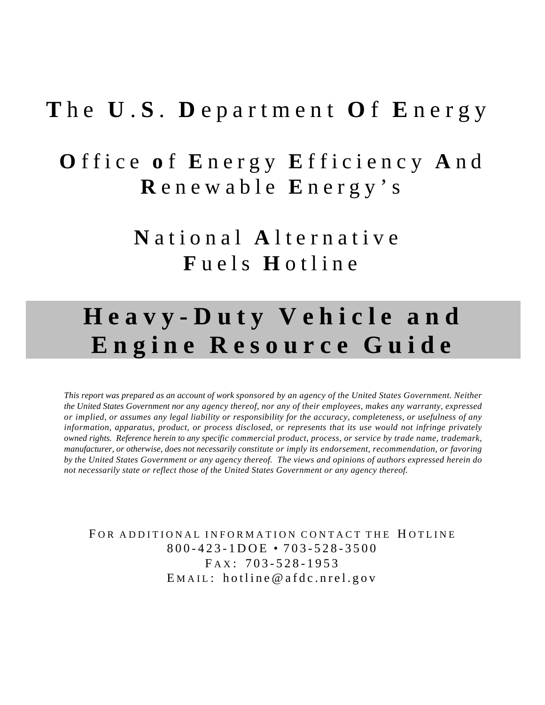## **T** h e **U** . **S** . **D** epartment **O** f **E** nergy

# **O** ffice **o** f **E** nergy **E** fficiency **A** n d **R** enewable **E** nergy's

**N** ational **A** lternative **F** uels **H** otline

# **Heavy-Duty Vehicle and Engine Resource Guide**

*This report was prepared as an account of work sponsored by an agency of the United States Government. Neither the United States Government nor any agency thereof, nor any of their employees, makes any warranty, expressed or implied, or assumes any legal liability or responsibility for the accuracy, completeness, or usefulness of any information, apparatus, product, or process disclosed, or represents that its use would not infringe privately owned rights. Reference herein to any specific commercial product, process, or service by trade name, trademark, manufacturer, or otherwise, does not necessarily constitute or imply its endorsement, recommendation, or favoring by the United States Government or any agency thereof. The views and opinions of authors expressed herein do not necessarily state or reflect those of the United States Government or any agency thereof.*

FOR ADDITIONAL INFORMATION CONTACT THE HOTLINE 800-423-1DOE • 703-528-3500  $FAX: 703-528-1953$ E MAIL : hotline@afdc.nrel.gov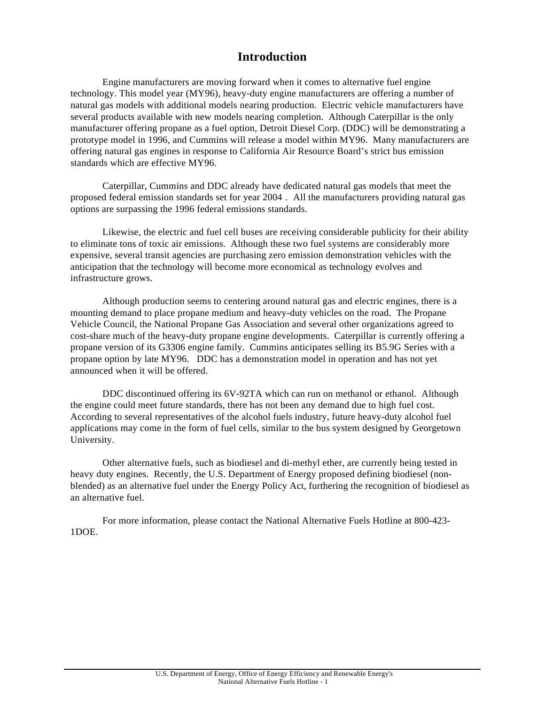## **Introduction**

Engine manufacturers are moving forward when it comes to alternative fuel engine technology. This model year (MY96), heavy-duty engine manufacturers are offering a number of natural gas models with additional models nearing production. Electric vehicle manufacturers have several products available with new models nearing completion. Although Caterpillar is the only manufacturer offering propane as a fuel option, Detroit Diesel Corp. (DDC) will be demonstrating a prototype model in 1996, and Cummins will release a model within MY96. Many manufacturers are offering natural gas engines in response to California Air Resource Board's strict bus emission standards which are effective MY96.

 Caterpillar, Cummins and DDC already have dedicated natural gas models that meet the proposed federal emission standards set for year 2004 *.* All the manufacturers providing natural gas options are surpassing the 1996 federal emissions standards.

Likewise, the electric and fuel cell buses are receiving considerable publicity for their ability to eliminate tons of toxic air emissions. Although these two fuel systems are considerably more expensive, several transit agencies are purchasing zero emission demonstration vehicles with the anticipation that the technology will become more economical as technology evolves and infrastructure grows.

Although production seems to centering around natural gas and electric engines, there is a mounting demand to place propane medium and heavy-duty vehicles on the road. The Propane Vehicle Council, the National Propane Gas Association and several other organizations agreed to cost-share much of the heavy-duty propane engine developments. Caterpillar is currently offering a propane version of its G3306 engine family. Cummins anticipates selling its B5.9G Series with a propane option by late MY96. DDC has a demonstration model in operation and has not yet announced when it will be offered.

DDC discontinued offering its 6V-92TA which can run on methanol or ethanol. Although the engine could meet future standards, there has not been any demand due to high fuel cost. According to several representatives of the alcohol fuels industry, future heavy-duty alcohol fuel applications may come in the form of fuel cells, similar to the bus system designed by Georgetown University.

Other alternative fuels, such as biodiesel and di-methyl ether, are currently being tested in heavy duty engines. Recently, the U.S. Department of Energy proposed defining biodiesel (nonblended) as an alternative fuel under the Energy Policy Act, furthering the recognition of biodiesel as an alternative fuel.

For more information, please contact the National Alternative Fuels Hotline at 800-423- 1DOE.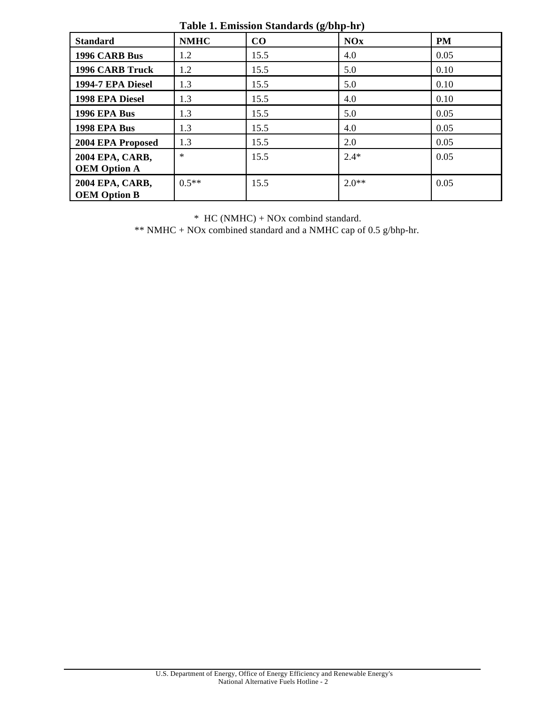| <b>Standard</b>                               | <b>NMHC</b> | $\frac{1}{2}$ and $\frac{1}{2}$ . Employed button as $\frac{1}{2}$ on $\frac{1}{2}$ in $\frac{1}{2}$<br>CO | <b>NOx</b> | <b>PM</b> |
|-----------------------------------------------|-------------|------------------------------------------------------------------------------------------------------------|------------|-----------|
|                                               |             |                                                                                                            |            |           |
| 1996 CARB Bus                                 | 1.2         | 15.5                                                                                                       | 4.0        | 0.05      |
| <b>1996 CARB Truck</b>                        | 1.2         | 15.5                                                                                                       | 5.0        | 0.10      |
| 1994-7 EPA Diesel                             | 1.3         | 15.5                                                                                                       | 5.0        | 0.10      |
| 1998 EPA Diesel                               | 1.3         | 15.5                                                                                                       | 4.0        | 0.10      |
| <b>1996 EPA Bus</b>                           | 1.3         | 15.5                                                                                                       | 5.0        | 0.05      |
| 1998 EPA Bus                                  | 1.3         | 15.5                                                                                                       | 4.0        | 0.05      |
| 2004 EPA Proposed                             | 1.3         | 15.5                                                                                                       | 2.0        | 0.05      |
| <b>2004 EPA, CARB,</b><br><b>OEM Option A</b> | $\ast$      | 15.5                                                                                                       | $2.4*$     | 0.05      |
| 2004 EPA, CARB,<br><b>OEM Option B</b>        | $0.5**$     | 15.5                                                                                                       | $2.0**$    | 0.05      |

**Table 1. Emission Standards (g/bhp-hr)**

\* HC (NMHC) + NOx combind standard.

\*\* NMHC + NOx combined standard and a NMHC cap of  $0.5$  g/bhp-hr.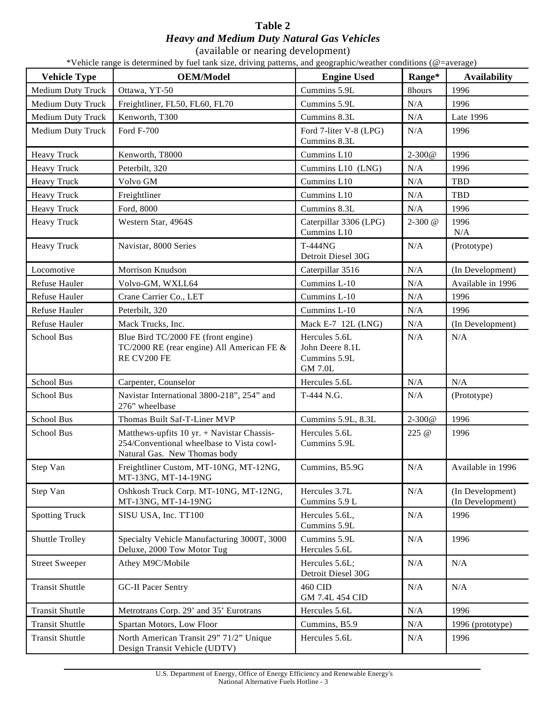## **Table 2** *Heavy and Medium Duty Natural Gas Vehicles*

(available or nearing development)

\*Vehicle range is determined by fuel tank size, driving patterns, and geographic/weather conditions (@=average)

| <b>Vehicle Type</b>    | <b>OEM/Model</b>                                                                                                          | <b>Engine Used</b>                                                 | Range*      | <b>Availability</b>                  |
|------------------------|---------------------------------------------------------------------------------------------------------------------------|--------------------------------------------------------------------|-------------|--------------------------------------|
| Medium Duty Truck      | Ottawa, YT-50                                                                                                             | Cummins 5.9L                                                       | 8hours      | 1996                                 |
| Medium Duty Truck      | Freightliner, FL50, FL60, FL70                                                                                            | Cummins 5.9L                                                       | N/A         | 1996                                 |
| Medium Duty Truck      | Kenworth, T300                                                                                                            | Cummins 8.3L                                                       | N/A         | <b>Late 1996</b>                     |
| Medium Duty Truck      | Ford F-700                                                                                                                | Ford 7-liter V-8 (LPG)<br>Cummins 8.3L                             | N/A         | 1996                                 |
| Heavy Truck            | Kenworth, T8000                                                                                                           | Cummins L10                                                        | $2 - 300@$  | 1996                                 |
| Heavy Truck            | Peterbilt, 320                                                                                                            | Cummins L10 (LNG)                                                  | N/A         | 1996                                 |
| Heavy Truck            | Volvo GM                                                                                                                  | Cummins L10                                                        | N/A         | TBD                                  |
| Heavy Truck            | Freightliner                                                                                                              | Cummins L10                                                        | N/A         | TBD                                  |
| Heavy Truck            | Ford, 8000                                                                                                                | Cummins 8.3L                                                       | N/A         | 1996                                 |
| <b>Heavy Truck</b>     | Western Star, 4964S                                                                                                       | Caterpillar 3306 (LPG)<br>Cummins L10                              | $2 - 300$ @ | 1996<br>N/A                          |
| Heavy Truck            | Navistar, 8000 Series                                                                                                     | T-444NG<br>Detroit Diesel 30G                                      | N/A         | (Prototype)                          |
| Locomotive             | Morrison Knudson                                                                                                          | Caterpillar 3516                                                   | N/A         | (In Development)                     |
| Refuse Hauler          | Volvo-GM, WXLL64                                                                                                          | Cummins L-10                                                       | N/A         | Available in 1996                    |
| Refuse Hauler          | Crane Carrier Co., LET                                                                                                    | Cummins L-10                                                       | N/A         | 1996                                 |
| Refuse Hauler          | Peterbilt, 320                                                                                                            | Cummins L-10                                                       | N/A         | 1996                                 |
| Refuse Hauler          | Mack Trucks, Inc.                                                                                                         | Mack E-7 12L (LNG)                                                 | $\rm N/A$   | (In Development)                     |
| School Bus             | Blue Bird TC/2000 FE (front engine)<br>TC/2000 RE (rear engine) All American FE &<br>RE CV200 FE                          | Hercules 5.6L<br>John Deere 8.1L<br>Cummins 5.9L<br><b>GM 7.0L</b> | N/A         | N/A                                  |
| School Bus             | Carpenter, Counselor                                                                                                      | Hercules 5.6L                                                      | N/A         | N/A                                  |
| School Bus             | Navistar International 3800-218", 254" and<br>276" wheelbase                                                              | T-444 N.G.                                                         | N/A         | (Prototype)                          |
| School Bus             | Thomas Built Saf-T-Liner MVP                                                                                              | Cummins 5.9L, 8.3L                                                 | $2 - 300@$  | 1996                                 |
| School Bus             | Matthews-upfits $10$ yr. + Navistar Chassis-<br>254/Conventional wheelbase to Vista cowl-<br>Natural Gas. New Thomas body | Hercules 5.6L<br>Cummins 5.9L                                      | 225 @       | 1996                                 |
| Step Van               | Freightliner Custom, MT-10NG, MT-12NG,<br>MT-13NG, MT-14-19NG                                                             | Cummins, B5.9G                                                     | $\rm N/A$   | Available in 1996                    |
| Step Van               | Oshkosh Truck Corp. MT-10NG, MT-12NG,<br>MT-13NG, MT-14-19NG                                                              | Hercules 3.7L<br>Cummins 5.9 L                                     | N/A         | (In Development)<br>(In Development) |
| <b>Spotting Truck</b>  | SISU USA, Inc. TT100                                                                                                      | Hercules 5.6L,<br>Cummins 5.9L                                     | N/A         | 1996                                 |
| Shuttle Trolley        | Specialty Vehicle Manufacturing 3000T, 3000<br>Deluxe, 2000 Tow Motor Tug                                                 | Cummins 5.9L<br>Hercules 5.6L                                      | N/A         | 1996                                 |
| <b>Street Sweeper</b>  | Athey M9C/Mobile                                                                                                          | Hercules 5.6L;<br>Detroit Diesel 30G                               | N/A         | N/A                                  |
| <b>Transit Shuttle</b> | <b>GC-II Pacer Sentry</b>                                                                                                 | <b>460 CID</b><br>GM 7.4L 454 CID                                  | N/A         | N/A                                  |
| <b>Transit Shuttle</b> | Metrotrans Corp. 29' and 35' Eurotrans                                                                                    | Hercules 5.6L                                                      | $\rm N/A$   | 1996                                 |
| <b>Transit Shuttle</b> | Spartan Motors, Low Floor                                                                                                 | Cummins, B5.9                                                      | $\rm N/A$   | 1996 (prototype)                     |
| <b>Transit Shuttle</b> | North American Transit 29" 71/2" Unique<br>Design Transit Vehicle (UDTV)                                                  | Hercules 5.6L                                                      | N/A         | 1996                                 |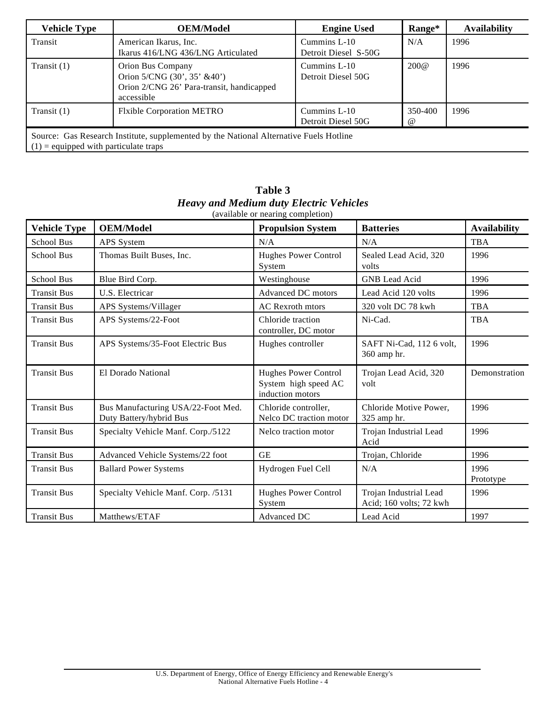| <b>Vehicle Type</b>                     | <b>OEM/Model</b>                                                                                            | <b>Engine Used</b>                   | Range*              | <b>Availability</b> |
|-----------------------------------------|-------------------------------------------------------------------------------------------------------------|--------------------------------------|---------------------|---------------------|
| Transit                                 | American Ikarus, Inc.<br>Ikarus 416/LNG 436/LNG Articulated                                                 | Cummins L-10<br>Detroit Diesel S-50G | N/A                 | 1996                |
| Transit $(1)$                           | Orion Bus Company<br>Orion 5/CNG (30', 35' &40')<br>Orion 2/CNG 26' Para-transit, handicapped<br>accessible | Cummins L-10<br>Detroit Diesel 50G   | 200@                | 1996                |
| Transit $(1)$                           | <b>Flxible Corporation METRO</b>                                                                            | Cummins L-10<br>Detroit Diesel 50G   | 350-400<br>$\omega$ | 1996                |
| $(1)$ = equipped with particulate traps | Source: Gas Research Institute, supplemented by the National Alternative Fuels Hotline                      |                                      |                     |                     |

| <b>Vehicle Type</b> | <b>OEM/Model</b>                                              | <b>Propulsion System</b>                                                | <b>Batteries</b>                                  | <b>Availability</b> |
|---------------------|---------------------------------------------------------------|-------------------------------------------------------------------------|---------------------------------------------------|---------------------|
| <b>School Bus</b>   | APS System                                                    | N/A                                                                     | N/A                                               | <b>TBA</b>          |
| <b>School Bus</b>   | Thomas Built Buses, Inc.                                      | <b>Hughes Power Control</b><br>System                                   | Sealed Lead Acid, 320<br>volts                    | 1996                |
| <b>School Bus</b>   | Blue Bird Corp.                                               | Westinghouse                                                            | <b>GNB</b> Lead Acid                              | 1996                |
| <b>Transit Bus</b>  | U.S. Electricar                                               | Advanced DC motors                                                      | Lead Acid 120 volts                               | 1996                |
| <b>Transit Bus</b>  | APS Systems/Villager                                          | <b>AC</b> Rexroth mtors                                                 | 320 volt DC 78 kwh                                | <b>TBA</b>          |
| <b>Transit Bus</b>  | APS Systems/22-Foot                                           | Chloride traction<br>controller, DC motor                               | Ni-Cad.                                           | <b>TBA</b>          |
| <b>Transit Bus</b>  | APS Systems/35-Foot Electric Bus                              | Hughes controller                                                       | SAFT Ni-Cad, 112 6 volt,<br>360 amp hr.           | 1996                |
| <b>Transit Bus</b>  | El Dorado National                                            | <b>Hughes Power Control</b><br>System high speed AC<br>induction motors | Trojan Lead Acid, 320<br>volt                     | Demonstration       |
| <b>Transit Bus</b>  | Bus Manufacturing USA/22-Foot Med.<br>Duty Battery/hybrid Bus | Chloride controller,<br>Nelco DC traction motor                         | Chloride Motive Power,<br>325 amp hr.             | 1996                |
| <b>Transit Bus</b>  | Specialty Vehicle Manf. Corp./5122                            | Nelco traction motor                                                    | Trojan Industrial Lead<br>Acid                    | 1996                |
| <b>Transit Bus</b>  | Advanced Vehicle Systems/22 foot                              | <b>GE</b>                                                               | Trojan, Chloride                                  | 1996                |
| <b>Transit Bus</b>  | <b>Ballard Power Systems</b>                                  | Hydrogen Fuel Cell                                                      | N/A                                               | 1996<br>Prototype   |
| <b>Transit Bus</b>  | Specialty Vehicle Manf. Corp. /5131                           | <b>Hughes Power Control</b><br>System                                   | Trojan Industrial Lead<br>Acid; 160 volts; 72 kwh | 1996                |
| <b>Transit Bus</b>  | Matthews/ETAF                                                 | Advanced DC                                                             | Lead Acid                                         | 1997                |

**Table 3** *Heavy and Medium duty Electric Vehicles* (available or nearing completion)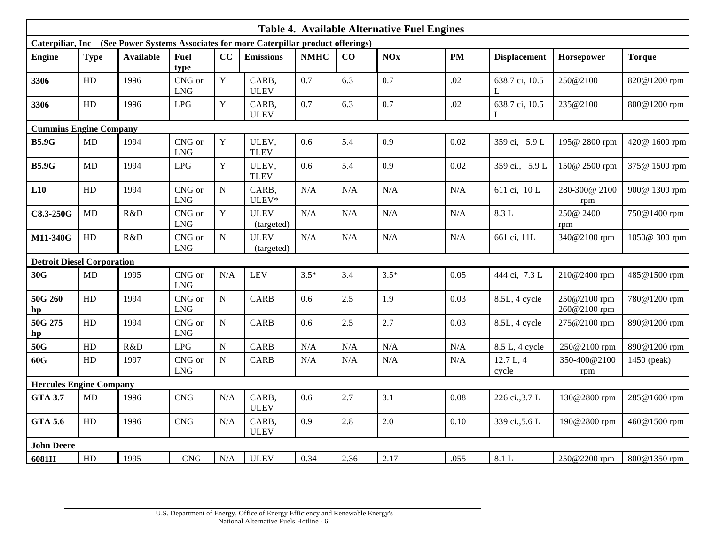| <b>Table 4. Available Alternative Fuel Engines</b>                                     |            |                  |                      |             |                           |             |      |            |           |                     |                              |               |
|----------------------------------------------------------------------------------------|------------|------------------|----------------------|-------------|---------------------------|-------------|------|------------|-----------|---------------------|------------------------------|---------------|
| Caterpiliar, Inc (See Power Systems Associates for more Caterpillar product offerings) |            |                  |                      |             |                           |             |      |            |           |                     |                              |               |
| <b>Engine</b>                                                                          | Type       | <b>Available</b> | Fuel<br>type         | CC          | <b>Emissions</b>          | <b>NMHC</b> | CO   | <b>NOx</b> | <b>PM</b> | <b>Displacement</b> | Horsepower                   | <b>Torque</b> |
| 3306                                                                                   | ${\rm HD}$ | 1996             | CNG or<br><b>LNG</b> | $\mathbf Y$ | CARB,<br><b>ULEV</b>      | 0.7         | 6.3  | 0.7        | .02       | 638.7 ci, 10.5<br>L | 250@2100                     | 820@1200 rpm  |
| 3306                                                                                   | HD         | 1996             | LPG                  | $\mathbf Y$ | CARB,<br><b>ULEV</b>      | 0.7         | 6.3  | 0.7        | .02       | 638.7 ci, 10.5      | 235@2100                     | 800@1200 rpm  |
| <b>Cummins Engine Company</b>                                                          |            |                  |                      |             |                           |             |      |            |           |                     |                              |               |
| <b>B5.9G</b>                                                                           | MD         | 1994             | CNG or<br><b>LNG</b> | $\mathbf Y$ | ULEV,<br><b>TLEV</b>      | 0.6         | 5.4  | 0.9        | 0.02      | 359 ci, 5.9 L       | 195@ 2800 rpm                | 420@ 1600 rpm |
| <b>B5.9G</b>                                                                           | <b>MD</b>  | 1994             | <b>LPG</b>           | $\mathbf Y$ | ULEV,<br><b>TLEV</b>      | $0.6\,$     | 5.4  | 0.9        | 0.02      | 359 ci., 5.9 L      | 150@ 2500 rpm                | 375@ 1500 rpm |
| L10                                                                                    | HD         | 1994             | CNG or<br><b>LNG</b> | ${\bf N}$   | CARB,<br>ULEV*            | N/A         | N/A  | N/A        | N/A       | 611 ci, 10 L        | 280-300@ 2100<br>rpm         | 900@ 1300 rpm |
| C8.3-250G                                                                              | MD         | R&D              | CNG or<br><b>LNG</b> | $\mathbf Y$ | <b>ULEV</b><br>(targeted) | N/A         | N/A  | N/A        | N/A       | 8.3 L               | 250@ 2400<br>rpm             | 750@1400 rpm  |
| M11-340G                                                                               | HD         | R&D              | CNG or<br><b>LNG</b> | ${\bf N}$   | <b>ULEV</b><br>(targeted) | N/A         | N/A  | N/A        | N/A       | 661 ci, 11L         | 340@2100 rpm                 | 1050@ 300 rpm |
| <b>Detroit Diesel Corporation</b>                                                      |            |                  |                      |             |                           |             |      |            |           |                     |                              |               |
| 30G                                                                                    | MD         | 1995             | CNG or<br><b>LNG</b> | N/A         | LEV                       | $3.5*$      | 3.4  | $3.5*$     | 0.05      | 444 ci, 7.3 L       | 210@2400 rpm                 | 485@1500 rpm  |
| 50G 260<br>hp                                                                          | HD         | 1994             | CNG or<br><b>LNG</b> | ${\bf N}$   | <b>CARB</b>               | 0.6         | 2.5  | 1.9        | 0.03      | 8.5L, 4 cycle       | 250@2100 rpm<br>260@2100 rpm | 780@1200 rpm  |
| 50G 275<br>hp                                                                          | HD         | 1994             | CNG or<br><b>LNG</b> | ${\bf N}$   | <b>CARB</b>               | 0.6         | 2.5  | 2.7        | 0.03      | 8.5L, 4 cycle       | 275@2100 rpm                 | 890@1200 rpm  |
| 50G                                                                                    | HD         | R&D              | LPG                  | ${\bf N}$   | <b>CARB</b>               | N/A         | N/A  | N/A        | N/A       | 8.5 L, 4 cycle      | 250@2100 rpm                 | 890@1200 rpm  |
| 60G                                                                                    | HD         | 1997             | CNG or<br><b>LNG</b> | ${\bf N}$   | <b>CARB</b>               | N/A         | N/A  | N/A        | N/A       | 12.7 L, 4<br>cycle  | 350-400@2100<br>rpm          | 1450 (peak)   |
| <b>Hercules Engine Company</b>                                                         |            |                  |                      |             |                           |             |      |            |           |                     |                              |               |
| <b>GTA 3.7</b>                                                                         | MD         | 1996             | CNG                  | N/A         | CARB,<br><b>ULEV</b>      | 0.6         | 2.7  | 3.1        | 0.08      | 226 ci., 3.7 L      | 130@2800 rpm                 | 285@1600 rpm  |
| <b>GTA 5.6</b>                                                                         | ${\rm HD}$ | 1996             | CNG                  | N/A         | CARB,<br><b>ULEV</b>      | 0.9         | 2.8  | 2.0        | 0.10      | 339 ci., 5.6 L      | 190@2800 rpm                 | 460@1500 rpm  |
| <b>John Deere</b>                                                                      |            |                  |                      |             |                           |             |      |            |           |                     |                              |               |
| 6081H                                                                                  | HD         | 1995             | <b>CNG</b>           | N/A         | <b>ULEV</b>               | 0.34        | 2.36 | 2.17       | .055      | 8.1 L               | 250@2200 rpm                 | 800@1350 rpm  |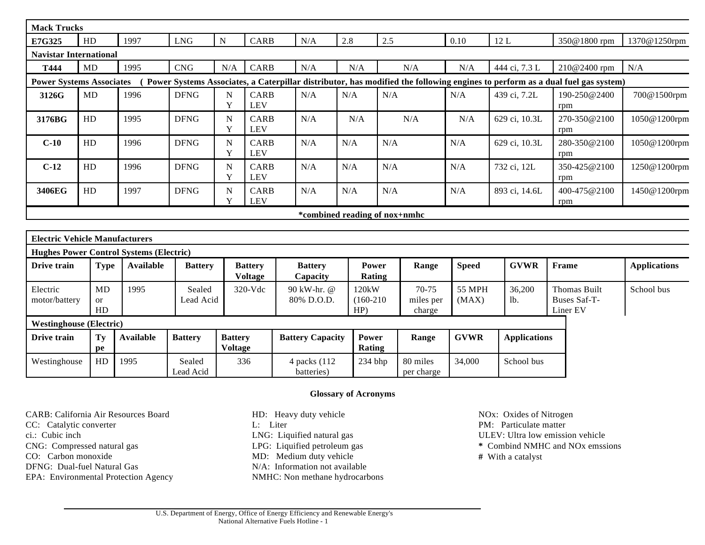| <b>Mack Trucks</b>                    |                 |                                                |                             |                                         |                            |                        |                               |                        |                          |                                                                                                                               |                     |
|---------------------------------------|-----------------|------------------------------------------------|-----------------------------|-----------------------------------------|----------------------------|------------------------|-------------------------------|------------------------|--------------------------|-------------------------------------------------------------------------------------------------------------------------------|---------------------|
| E7G325                                | HD              | 1997                                           | ${\rm LNG}$                 | CARB<br>${\bf N}$                       | 2.8<br>N/A                 |                        | 2.5                           | 0.10                   | 12L                      | 350@1800 rpm                                                                                                                  | 1370@1250rpm        |
| <b>Navistar International</b>         |                 |                                                |                             |                                         |                            |                        |                               |                        |                          |                                                                                                                               |                     |
| T444                                  | MD              | 1995                                           | $\ensuremath{\mathrm{CNG}}$ | CARB<br>N/A                             | N/A                        | N/A                    | N/A                           | N/A                    | 444 ci, 7.3 L            | 210@2400 rpm                                                                                                                  | N/A                 |
| <b>Power Systems Associates</b>       |                 |                                                |                             |                                         |                            |                        |                               |                        |                          | Power Systems Associates, a Caterpillar distributor, has modified the following engines to perform as a dual fuel gas system) |                     |
| 3126G                                 | MD              | 1996                                           | <b>DFNG</b>                 | N<br><b>CARB</b><br>Y<br><b>LEV</b>     | N/A                        | N/A                    | N/A                           | N/A                    | 439 ci, 7.2L             | $190 - 250@2400$<br>rpm                                                                                                       | 700@1500rpm         |
| 3176BG                                | HD              | 1995                                           | <b>DFNG</b>                 | N<br>CARB<br>Y<br><b>LEV</b>            | N/A                        | N/A                    | N/A                           | N/A                    | 629 ci, 10.3L            | 270-350@2100<br>rpm                                                                                                           | 1050@1200rpm        |
| $C-10$                                | HD              | 1996                                           | <b>DFNG</b>                 | CARB<br>N<br>Y<br><b>LEV</b>            | N/A                        | N/A                    | N/A                           | N/A                    | 629 ci. 10.3L            | 280-350@2100<br>rpm                                                                                                           | 1050@1200rpm        |
| $C-12$                                | HD              | 1996                                           | <b>DFNG</b>                 | <b>CARB</b><br>N<br>Y<br><b>LEV</b>     | N/A                        | N/A                    | N/A                           | N/A                    | 732 ci, 12L              | 350-425@2100<br>rpm                                                                                                           | 1250@1200rpm        |
| 3406EG                                | HD              | 1997                                           | <b>DFNG</b>                 | CARB<br>N<br><b>LEV</b><br>$\mathbf{v}$ | N/A                        | N/A                    | N/A                           | N/A                    | 893 ci, 14.6L            | 400-475@2100<br>rpm                                                                                                           | 1450@1200rpm        |
|                                       |                 |                                                |                             |                                         |                            |                        | *combined reading of nox+nmhc |                        |                          |                                                                                                                               |                     |
|                                       |                 |                                                |                             |                                         |                            |                        |                               |                        |                          |                                                                                                                               |                     |
| <b>Electric Vehicle Manufacturers</b> |                 |                                                |                             |                                         |                            |                        |                               |                        |                          |                                                                                                                               |                     |
|                                       |                 | <b>Hughes Power Control Systems (Electric)</b> |                             |                                         |                            |                        |                               |                        |                          |                                                                                                                               |                     |
| Drive train                           | <b>Type</b>     | Available                                      | <b>Battery</b>              | <b>Battery</b><br><b>Voltage</b>        | <b>Battery</b><br>Capacity | <b>Power</b><br>Rating | Range                         | <b>Speed</b>           | <b>GVWR</b>              | Frame                                                                                                                         | <b>Applications</b> |
| Electric<br>motor/battery             | MD<br><b>or</b> | 1995                                           | Sealed<br>Lead Acid         | $320-Vdc$                               | 90 kW-hr. @<br>80% D.O.D.  | 120kW<br>$(160-210)$   | $70-75$<br>miles per          | <b>55 MPH</b><br>(MAX) | 36,200<br>1 <sub>b</sub> | Thomas Built<br>Buses Saf-T-                                                                                                  | School bus          |

|                                | HD |           |                |                |                         | HP)       | charge     |             |                     | Liner EV |
|--------------------------------|----|-----------|----------------|----------------|-------------------------|-----------|------------|-------------|---------------------|----------|
| <b>Westinghouse</b> (Electric) |    |           |                |                |                         |           |            |             |                     |          |
| Drive train                    | Tv | Available | <b>Battery</b> | <b>Battery</b> | <b>Battery Capacity</b> | Power     | Range      | <b>GVWR</b> | <b>Applications</b> |          |
|                                | рe |           |                | <b>Voltage</b> |                         | Rating    |            |             |                     |          |
| Westinghouse                   | HD | 1995      | Sealed         | 336            | 4 packs (112)           | $234$ bhp | 80 miles   | 34,000      | School bus          |          |
|                                |    |           | Lead Acid      |                | batteries)              |           | per charge |             |                     |          |

#### **Glossary of Acronyms**

| CARB: California Air Resources Board | HD: Heavy duty vehicle         | NO <sub>x</sub> : Oxides of Nitrogen        |
|--------------------------------------|--------------------------------|---------------------------------------------|
| CC: Catalytic converter              | L: Liter                       | PM: Particulate matter                      |
| ci.: Cubic inch                      | LNG: Liquified natural gas     | ULEV: Ultra low emission vehicle            |
| CNG: Compressed natural gas          | LPG: Liquified petroleum gas   | * Combind NMHC and NO <sub>x</sub> emssions |
| CO: Carbon monoxide                  | MD: Medium duty vehicle        | # With a catalyst                           |
| DFNG: Dual-fuel Natural Gas          | N/A: Information not available |                                             |
| EPA: Environmental Protection Agency | NMHC: Non methane hydrocarbons |                                             |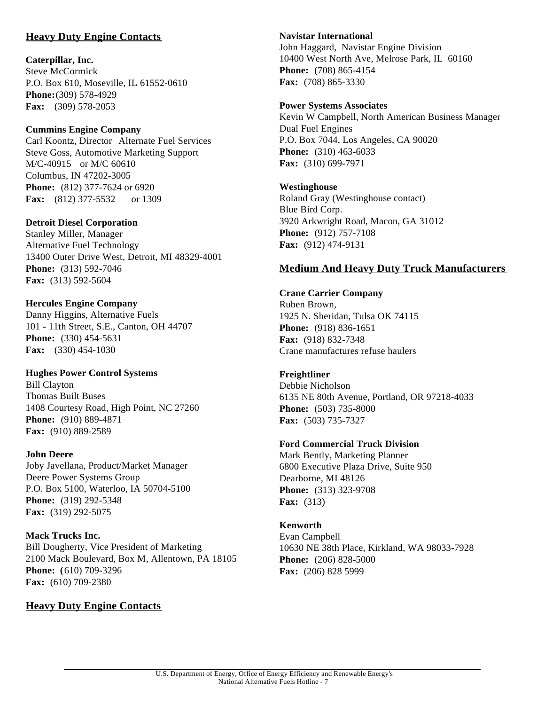## **Heavy Duty Engine Contacts**

#### **Caterpillar, Inc.**

Steve McCormick P.O. Box 610, Moseville, IL 61552-0610 **Phone:**(309) 578-4929 **Fax:** (309) 578-2053

#### **Cummins Engine Company**

Carl Koontz, Director Alternate Fuel Services Steve Goss, Automotive Marketing Support M/C-40915 or M/C 60610 Columbus, IN 47202-3005 **Phone:** (812) 377-7624 or 6920 **Fax:** (812) 377-5532 or 1309

#### **Detroit Diesel Corporation**

Stanley Miller, Manager Alternative Fuel Technology 13400 Outer Drive West, Detroit, MI 48329-4001 **Phone:** (313) 592-7046 **Fax:** (313) 592-5604

#### **Hercules Engine Company**

Danny Higgins, Alternative Fuels 101 - 11th Street, S.E., Canton, OH 44707 **Phone:** (330) 454-5631 **Fax:** (330) 454-1030

#### **Hughes Power Control Systems**

Bill Clayton Thomas Built Buses 1408 Courtesy Road, High Point, NC 27260 **Phone:** (910) 889-4871 **Fax:** (910) 889-2589

#### **John Deere**

Joby Javellana, Product/Market Manager Deere Power Systems Group P.O. Box 5100, Waterloo, IA 50704-5100 **Phone:** (319) 292-5348 **Fax:** (319) 292-5075

**Mack Trucks Inc.** Bill Dougherty, Vice President of Marketing 2100 Mack Boulevard, Box M, Allentown, PA 18105 **Phone: (**610) 709-3296 **Fax:** (610) 709-2380

## **Heavy Duty Engine Contacts**

#### **Navistar International**

John Haggard, Navistar Engine Division 10400 West North Ave, Melrose Park, IL 60160 **Phone:** (708) 865-4154 **Fax:** (708) 865-3330

#### **Power Systems Associates**

Kevin W Campbell, North American Business Manager Dual Fuel Engines P.O. Box 7044, Los Angeles, CA 90020 **Phone:** (310) 463-6033 **Fax:** (310) 699-7971

#### **Westinghouse**

Roland Gray (Westinghouse contact) Blue Bird Corp. 3920 Arkwright Road, Macon, GA 31012 **Phone:** (912) 757-7108 **Fax:** (912) 474-9131

#### **Medium And Heavy Duty Truck Manufacturers**

## **Crane Carrier Company**

Ruben Brown, 1925 N. Sheridan, Tulsa OK 74115 **Phone:** (918) 836-1651 **Fax:** (918) 832-7348 Crane manufactures refuse haulers

#### **Freightliner**

Debbie Nicholson 6135 NE 80th Avenue, Portland, OR 97218-4033 **Phone:** (503) 735-8000 **Fax:** (503) 735-7327

#### **Ford Commercial Truck Division**

Mark Bently, Marketing Planner 6800 Executive Plaza Drive, Suite 950 Dearborne, MI 48126 **Phone:** (313) 323-9708 **Fax:** (313)

#### **Kenworth**

Evan Campbell 10630 NE 38th Place, Kirkland, WA 98033-7928 **Phone:** (206) 828-5000 **Fax:** (206) 828 5999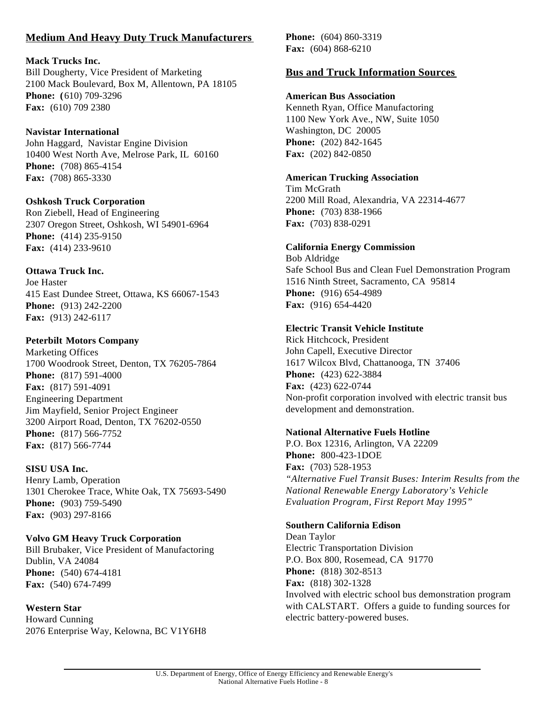## **Medium And Heavy Duty Truck Manufacturers**

#### **Mack Trucks Inc.**

Bill Dougherty, Vice President of Marketing 2100 Mack Boulevard, Box M, Allentown, PA 18105 **Phone: (**610) 709-3296 **Fax:** (610) 709 2380

#### **Navistar International**

John Haggard, Navistar Engine Division 10400 West North Ave, Melrose Park, IL 60160 **Phone:** (708) 865-4154 **Fax:** (708) 865-3330

#### **Oshkosh Truck Corporation**

Ron Ziebell, Head of Engineering 2307 Oregon Street, Oshkosh, WI 54901-6964 **Phone:** (414) 235-9150 **Fax:** (414) 233-9610

#### **Ottawa Truck Inc.**

Joe Haster 415 East Dundee Street, Ottawa, KS 66067-1543 **Phone:** (913) 242-2200 **Fax:** (913) 242-6117

#### **Peterbilt Motors Company**

Marketing Offices 1700 Woodrook Street, Denton, TX 76205-7864 **Phone:** (817) 591-4000 **Fax:** (817) 591-4091 Engineering Department Jim Mayfield, Senior Project Engineer 3200 Airport Road, Denton, TX 76202-0550 **Phone:** (817) 566-7752 **Fax:** (817) 566-7744

#### **SISU USA Inc.**

Henry Lamb, Operation 1301 Cherokee Trace, White Oak, TX 75693-5490 **Phone:** (903) 759-5490 **Fax:** (903) 297-8166

#### **Volvo GM Heavy Truck Corporation**

Bill Brubaker, Vice President of Manufactoring Dublin, VA 24084 **Phone:** (540) 674-4181 **Fax:** (540) 674-7499

#### **Western Star**

Howard Cunning 2076 Enterprise Way, Kelowna, BC V1Y6H8 **Phone:** (604) 860-3319 **Fax:** (604) 868-6210

#### **Bus and Truck Information Sources**

#### **American Bus Association**

Kenneth Ryan, Office Manufactoring 1100 New York Ave., NW, Suite 1050 Washington, DC 20005 **Phone:** (202) 842-1645 **Fax:** (202) 842-0850

#### **American Trucking Association**

Tim McGrath 2200 Mill Road, Alexandria, VA 22314-4677 **Phone:** (703) 838-1966 **Fax:** (703) 838-0291

#### **California Energy Commission**

Bob Aldridge Safe School Bus and Clean Fuel Demonstration Program 1516 Ninth Street, Sacramento, CA 95814 **Phone:** (916) 654-4989 **Fax:** (916) 654-4420

#### **Electric Transit Vehicle Institute**

Rick Hitchcock, President John Capell, Executive Director 1617 Wilcox Blvd, Chattanooga, TN 37406 **Phone:** (423) 622-3884 **Fax:** (423) 622-0744 Non-profit corporation involved with electric transit bus development and demonstration.

#### **National Alternative Fuels Hotline**

P.O. Box 12316, Arlington, VA 22209 **Phone:** 800-423-1DOE **Fax:** (703) 528-1953 *"Alternative Fuel Transit Buses: Interim Results from the National Renewable Energy Laboratory's Vehicle Evaluation Program, First Report May 1995"*

#### **Southern California Edison**

Dean Taylor Electric Transportation Division P.O. Box 800, Rosemead, CA 91770 **Phone:** (818) 302-8513 **Fax:** (818) 302-1328 Involved with electric school bus demonstration program with CALSTART. Offers a guide to funding sources for electric battery-powered buses.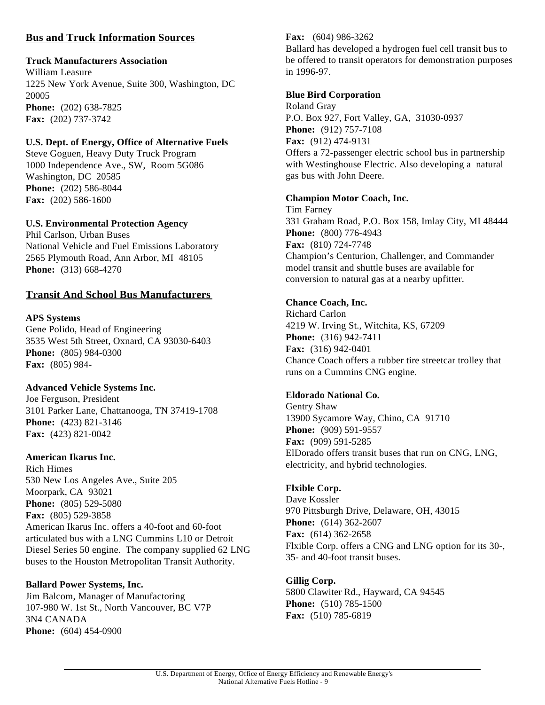## **Bus and Truck Information Sources**

## **Truck Manufacturers Association**

William Leasure 1225 New York Avenue, Suite 300, Washington, DC 20005 **Phone:** (202) 638-7825 **Fax:** (202) 737-3742

## **U.S. Dept. of Energy, Office of Alternative Fuels**

Steve Goguen, Heavy Duty Truck Program 1000 Independence Ave., SW, Room 5G086 Washington, DC 20585 **Phone:** (202) 586-8044 **Fax:** (202) 586-1600

## **U.S. Environmental Protection Agency**

Phil Carlson, Urban Buses National Vehicle and Fuel Emissions Laboratory 2565 Plymouth Road, Ann Arbor, MI 48105 **Phone:** (313) 668-4270

## **Transit And School Bus Manufacturers**

## **APS Systems**

Gene Polido, Head of Engineering 3535 West 5th Street, Oxnard, CA 93030-6403 **Phone:** (805) 984-0300 **Fax:** (805) 984-

## **Advanced Vehicle Systems Inc.**

Joe Ferguson, President 3101 Parker Lane, Chattanooga, TN 37419-1708 **Phone:** (423) 821-3146 **Fax:** (423) 821-0042

## **American Ikarus Inc.**

Rich Himes 530 New Los Angeles Ave., Suite 205 Moorpark, CA 93021 **Phone:** (805) 529-5080 **Fax:** (805) 529-3858 American Ikarus Inc. offers a 40-foot and 60-foot articulated bus with a LNG Cummins L10 or Detroit Diesel Series 50 engine. The company supplied 62 LNG buses to the Houston Metropolitan Transit Authority.

## **Ballard Power Systems, Inc.**

Jim Balcom, Manager of Manufactoring 107-980 W. 1st St., North Vancouver, BC V7P 3N4 CANADA **Phone:** (604) 454-0900

## **Fax:** (604) 986-3262

Ballard has developed a hydrogen fuel cell transit bus to be offered to transit operators for demonstration purposes in 1996-97.

## **Blue Bird Corporation**

Roland Gray P.O. Box 927, Fort Valley, GA, 31030-0937 **Phone:** (912) 757-7108 **Fax:** (912) 474-9131 Offers a 72-passenger electric school bus in partnership with Westinghouse Electric. Also developing a natural gas bus with John Deere.

## **Champion Motor Coach, Inc.**

Tim Farney 331 Graham Road, P.O. Box 158, Imlay City, MI 48444 **Phone:** (800) 776-4943 **Fax:** (810) 724-7748 Champion's Centurion, Challenger, and Commander model transit and shuttle buses are available for conversion to natural gas at a nearby upfitter.

## **Chance Coach, Inc.**

Richard Carlon 4219 W. Irving St., Witchita, KS, 67209 **Phone:** (316) 942-7411 **Fax:** (316) 942-0401 Chance Coach offers a rubber tire streetcar trolley that runs on a Cummins CNG engine.

## **Eldorado National Co.**

Gentry Shaw 13900 Sycamore Way, Chino, CA 91710 **Phone:** (909) 591-9557 **Fax:** (909) 591-5285 ElDorado offers transit buses that run on CNG, LNG, electricity, and hybrid technologies.

## **Flxible Corp.**

Dave Kossler 970 Pittsburgh Drive, Delaware, OH, 43015 **Phone:** (614) 362-2607 **Fax:** (614) 362-2658 Flxible Corp. offers a CNG and LNG option for its 30-, 35- and 40-foot transit buses.

## **Gillig Corp.**

5800 Clawiter Rd., Hayward, CA 94545 **Phone:** (510) 785-1500 **Fax:** (510) 785-6819